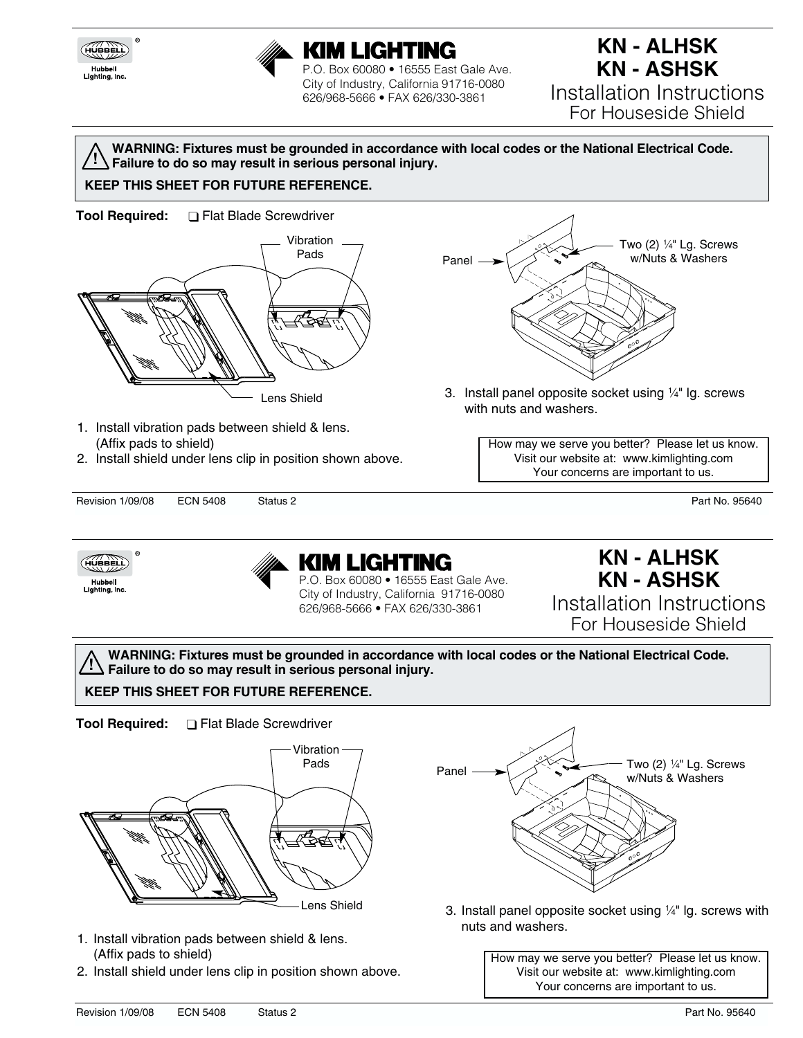



P.O. Box 60080 • 16555 East Gale Ave. City of Industry, California 91716-0080 626/968-5666 • FAX 626/330-3861

## **KN - ALHSK KN - ASHSK**  Installation Instructions For Houseside Shield

#### **WARNING: Fixtures must be grounded in accordance with local codes or the National Electrical Code. Failure to do so may result in serious personal injury. !**

## **KEEP THIS SHEET FOR FUTURE REFERENCE.**





- 1. Install vibration pads between shield & lens. (Affix pads to shield)
- 2. Install shield under lens clip in position shown above.

Revision 1/09/08 PCN 5408 Status 2 Part No. 95640



3. Install panel opposite socket using  $\frac{1}{4}$ " lg. screws with nuts and washers.

> How may we serve you better? Please let us know. Visit our website at: www.kimlighting.com Your concerns are important to us.





# **KIM LIGHTING**

P.O. Box 60080 • 16555 East Gale Ave. City of Industry, California 91716-0080 626/968-5666 • FAX 626/330-3861

**KN - ALHSK KN - ASHSK**

Installation Instructions For Houseside Shield

**WARNING: Fixtures must be grounded in accordance with local codes or the National Electrical Code. Failure to do so may result in serious personal injury. !**

### **KEEP THIS SHEET FOR FUTURE REFERENCE.**

Lens Shield Vibration **Tool Required:** ❑ Flat Blade Screwdriver

- 1. Install vibration pads between shield & lens. (Affix pads to shield)
- 2. Install shield under lens clip in position shown above.



3. Install panel opposite socket using  $\frac{1}{4}$ " Ig. screws with nuts and washers.

> How may we serve you better? Please let us know. Visit our website at: www.kimlighting.com Your concerns are important to us.